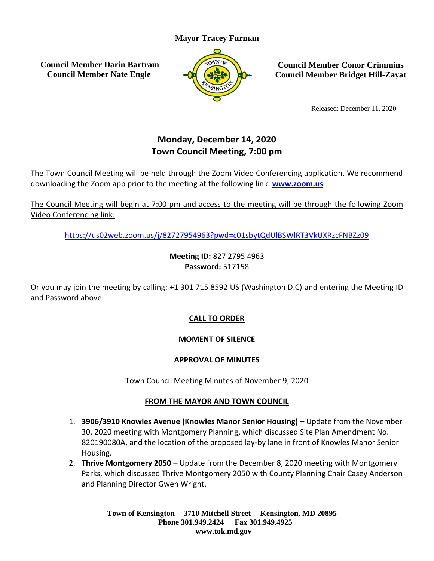#### **Mayor Tracey Furman**

**Council Member Darin Bartram Council Member Nate Engle**



**Council Member Conor Crimmins Council Member Bridget Hill-Zayat**

Released: December 11, 2020

# **Monday, December 14, 2020 Town Council Meeting, 7:00 pm**

The Town Council Meeting will be held through the Zoom Video Conferencing application. We recommend downloading the Zoom app prior to the meeting at the following link: **[www.zoom.us](http://www.zoom.us/)**

The Council Meeting will begin at 7:00 pm and access to the meeting will be through the following Zoom Video Conferencing link:

<https://us02web.zoom.us/j/82727954963?pwd=c01sbytQdUlBSWlRT3VkUXRzcFNBZz09>

**Meeting ID:** 827 2795 4963 **Password:** 517158

Or you may join the meeting by calling: +1 301 715 8592 US (Washington D.C) and entering the Meeting ID and Password above.

# **CALL TO ORDER**

# **MOMENT OF SILENCE**

# **APPROVAL OF MINUTES**

Town Council Meeting Minutes of November 9, 2020

# **FROM THE MAYOR AND TOWN COUNCIL**

- 1. **3906/3910 Knowles Avenue (Knowles Manor Senior Housing) –** Update from the November 30, 2020 meeting with Montgomery Planning, which discussed Site Plan Amendment No. 820190080A, and the location of the proposed lay-by lane in front of Knowles Manor Senior Housing.
- 2. **Thrive Montgomery 2050** Update from the December 8, 2020 meeting with Montgomery Parks, which discussed Thrive Montgomery 2050 with County Planning Chair Casey Anderson and Planning Director Gwen Wright.

**Town of Kensington 3710 Mitchell Street Kensington, MD 20895 Phone 301.949.2424 Fax 301.949.4925 www.tok.md.gov**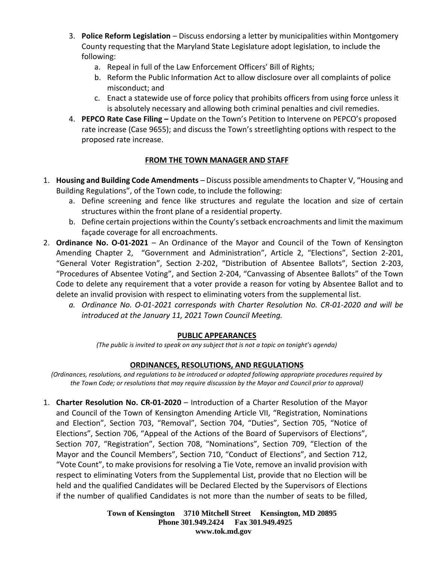- 3. **Police Reform Legislation** Discuss endorsing a letter by municipalities within Montgomery County requesting that the Maryland State Legislature adopt legislation, to include the following:
	- a. Repeal in full of the Law Enforcement Officers' Bill of Rights;
	- b. Reform the Public Information Act to allow disclosure over all complaints of police misconduct; and
	- c. Enact a statewide use of force policy that prohibits officers from using force unless it is absolutely necessary and allowing both criminal penalties and civil remedies.
- 4. **PEPCO Rate Case Filing –** Update on the Town's Petition to Intervene on PEPCO's proposed rate increase (Case 9655); and discuss the Town's streetlighting options with respect to the proposed rate increase.

# **FROM THE TOWN MANAGER AND STAFF**

- 1. **Housing and Building Code Amendments** Discuss possible amendments to Chapter V, "Housing and Building Regulations", of the Town code, to include the following:
	- a. Define screening and fence like structures and regulate the location and size of certain structures within the front plane of a residential property.
	- b. Define certain projections within the County's setback encroachments and limit the maximum façade coverage for all encroachments.
- 2. **Ordinance No. O-01-2021** An Ordinance of the Mayor and Council of the Town of Kensington Amending Chapter 2, "Government and Administration", Article 2, "Elections", Section 2-201, "General Voter Registration", Section 2-202, "Distribution of Absentee Ballots", Section 2-203, "Procedures of Absentee Voting", and Section 2-204, "Canvassing of Absentee Ballots" of the Town Code to delete any requirement that a voter provide a reason for voting by Absentee Ballot and to delete an invalid provision with respect to eliminating voters from the supplemental list.
	- *a. Ordinance No. O-01-2021 corresponds with Charter Resolution No. CR-01-2020 and will be introduced at the January 11, 2021 Town Council Meeting.*

#### **PUBLIC APPEARANCES**

*(The public is invited to speak on any subject that is not a topic on tonight's agenda)*

#### **ORDINANCES, RESOLUTIONS, AND REGULATIONS**

*(Ordinances, resolutions, and regulations to be introduced or adopted following appropriate procedures required by the Town Code; or resolutions that may require discussion by the Mayor and Council prior to approval)*

1. **Charter Resolution No. CR-01-2020** – Introduction of a Charter Resolution of the Mayor and Council of the Town of Kensington Amending Article VII, "Registration, Nominations and Election", Section 703, "Removal", Section 704, "Duties", Section 705, "Notice of Elections", Section 706, "Appeal of the Actions of the Board of Supervisors of Elections", Section 707, "Registration", Section 708, "Nominations", Section 709, "Election of the Mayor and the Council Members", Section 710, "Conduct of Elections", and Section 712, "Vote Count", to make provisions for resolving a Tie Vote, remove an invalid provision with respect to eliminating Voters from the Supplemental List, provide that no Election will be held and the qualified Candidates will be Declared Elected by the Supervisors of Elections if the number of qualified Candidates is not more than the number of seats to be filled,

> **Town of Kensington 3710 Mitchell Street Kensington, MD 20895 Phone 301.949.2424 Fax 301.949.4925 www.tok.md.gov**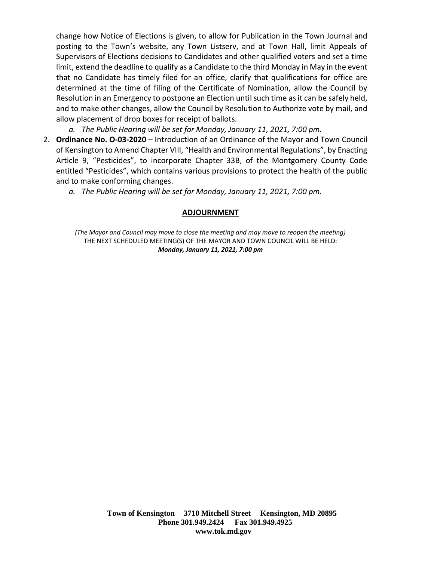change how Notice of Elections is given, to allow for Publication in the Town Journal and posting to the Town's website, any Town Listserv, and at Town Hall, limit Appeals of Supervisors of Elections decisions to Candidates and other qualified voters and set a time limit, extend the deadline to qualify as a Candidate to the third Monday in May in the event that no Candidate has timely filed for an office, clarify that qualifications for office are determined at the time of filing of the Certificate of Nomination, allow the Council by Resolution in an Emergency to postpone an Election until such time as it can be safely held, and to make other changes, allow the Council by Resolution to Authorize vote by mail, and allow placement of drop boxes for receipt of ballots.

- *a. The Public Hearing will be set for Monday, January 11, 2021, 7:00 pm.*
- 2. **Ordinance No. O-03-2020** Introduction of an Ordinance of the Mayor and Town Council of Kensington to Amend Chapter VIII, "Health and Environmental Regulations", by Enacting Article 9, "Pesticides", to incorporate Chapter 33B, of the Montgomery County Code entitled "Pesticides", which contains various provisions to protect the health of the public and to make conforming changes.
	- *a. The Public Hearing will be set for Monday, January 11, 2021, 7:00 pm.*

#### **ADJOURNMENT**

*(The Mayor and Council may move to close the meeting and may move to reopen the meeting)* THE NEXT SCHEDULED MEETING(S) OF THE MAYOR AND TOWN COUNCIL WILL BE HELD: *Monday, January 11, 2021, 7:00 pm*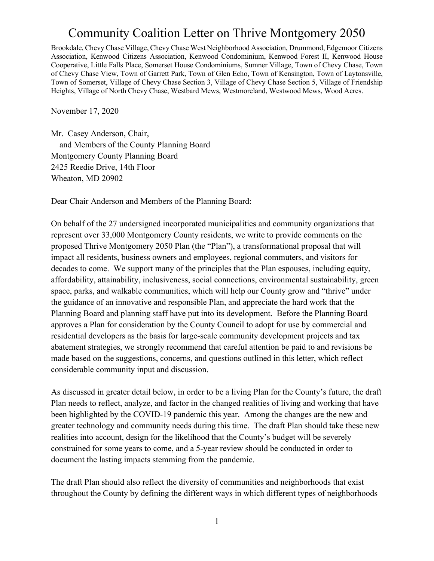# Community Coalition Letter on Thrive Montgomery 2050

Brookdale, Chevy Chase Village, Chevy Chase West Neighborhood Association, Drummond, Edgemoor Citizens Association, Kenwood Citizens Association, Kenwood Condominium, Kenwood Forest II, Kenwood House Cooperative, Little Falls Place, Somerset House Condominiums, Sumner Village, Town of Chevy Chase, Town of Chevy Chase View, Town of Garrett Park, Town of Glen Echo, Town of Kensington, Town of Laytonsville, Town of Somerset, Village of Chevy Chase Section 3, Village of Chevy Chase Section 5, Village of Friendship Heights, Village of North Chevy Chase, Westbard Mews, Westmoreland, Westwood Mews, Wood Acres.

November 17, 2020

Mr. Casey Anderson, Chair, and Members of the County Planning Board Montgomery County Planning Board 2425 Reedie Drive, 14th Floor Wheaton, MD 20902

Dear Chair Anderson and Members of the Planning Board:

On behalf of the 27 undersigned incorporated municipalities and community organizations that represent over 33,000 Montgomery County residents, we write to provide comments on the proposed Thrive Montgomery 2050 Plan (the "Plan"), a transformational proposal that will impact all residents, business owners and employees, regional commuters, and visitors for decades to come. We support many of the principles that the Plan espouses, including equity, affordability, attainability, inclusiveness, social connections, environmental sustainability, green space, parks, and walkable communities, which will help our County grow and "thrive" under the guidance of an innovative and responsible Plan, and appreciate the hard work that the Planning Board and planning staff have put into its development. Before the Planning Board approves a Plan for consideration by the County Council to adopt for use by commercial and residential developers as the basis for large-scale community development projects and tax abatement strategies, we strongly recommend that careful attention be paid to and revisions be made based on the suggestions, concerns, and questions outlined in this letter, which reflect considerable community input and discussion.

As discussed in greater detail below, in order to be a living Plan for the County's future, the draft Plan needs to reflect, analyze, and factor in the changed realities of living and working that have been highlighted by the COVID-19 pandemic this year. Among the changes are the new and greater technology and community needs during this time. The draft Plan should take these new realities into account, design for the likelihood that the County's budget will be severely constrained for some years to come, and a 5-year review should be conducted in order to document the lasting impacts stemming from the pandemic.

The draft Plan should also reflect the diversity of communities and neighborhoods that exist throughout the County by defining the different ways in which different types of neighborhoods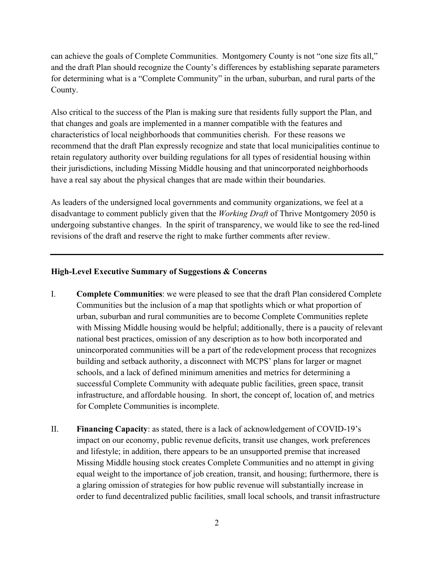can achieve the goals of Complete Communities. Montgomery County is not "one size fits all," and the draft Plan should recognize the County's differences by establishing separate parameters for determining what is a "Complete Community" in the urban, suburban, and rural parts of the County.

Also critical to the success of the Plan is making sure that residents fully support the Plan, and that changes and goals are implemented in a manner compatible with the features and characteristics of local neighborhoods that communities cherish. For these reasons we recommend that the draft Plan expressly recognize and state that local municipalities continue to retain regulatory authority over building regulations for all types of residential housing within their jurisdictions, including Missing Middle housing and that unincorporated neighborhoods have a real say about the physical changes that are made within their boundaries.

As leaders of the undersigned local governments and community organizations, we feel at a disadvantage to comment publicly given that the *Working Draft* of Thrive Montgomery 2050 is undergoing substantive changes. In the spirit of transparency, we would like to see the red-lined revisions of the draft and reserve the right to make further comments after review.

#### **High-Level Executive Summary of Suggestions & Concerns**

- I. **Complete Communities**: we were pleased to see that the draft Plan considered Complete Communities but the inclusion of a map that spotlights which or what proportion of urban, suburban and rural communities are to become Complete Communities replete with Missing Middle housing would be helpful; additionally, there is a paucity of relevant national best practices, omission of any description as to how both incorporated and unincorporated communities will be a part of the redevelopment process that recognizes building and setback authority, a disconnect with MCPS' plans for larger or magnet schools, and a lack of defined minimum amenities and metrics for determining a successful Complete Community with adequate public facilities, green space, transit infrastructure, and affordable housing. In short, the concept of, location of, and metrics for Complete Communities is incomplete.
- II. **Financing Capacity**: as stated, there is a lack of acknowledgement of COVID-19's impact on our economy, public revenue deficits, transit use changes, work preferences and lifestyle; in addition, there appears to be an unsupported premise that increased Missing Middle housing stock creates Complete Communities and no attempt in giving equal weight to the importance of job creation, transit, and housing; furthermore, there is a glaring omission of strategies for how public revenue will substantially increase in order to fund decentralized public facilities, small local schools, and transit infrastructure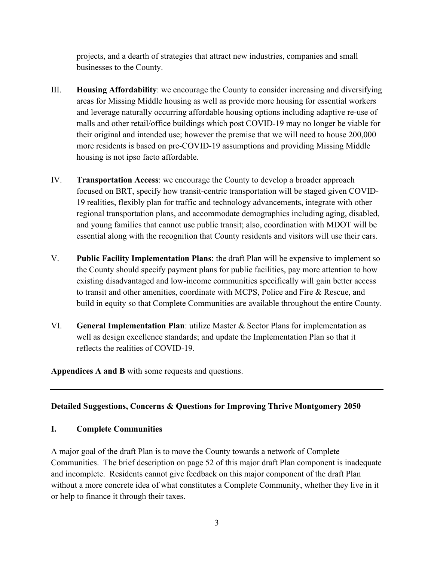projects, and a dearth of strategies that attract new industries, companies and small businesses to the County.

- III. **Housing Affordability**: we encourage the County to consider increasing and diversifying areas for Missing Middle housing as well as provide more housing for essential workers and leverage naturally occurring affordable housing options including adaptive re-use of malls and other retail/office buildings which post COVID-19 may no longer be viable for their original and intended use; however the premise that we will need to house 200,000 more residents is based on pre-COVID-19 assumptions and providing Missing Middle housing is not ipso facto affordable.
- IV. **Transportation Access**: we encourage the County to develop a broader approach focused on BRT, specify how transit-centric transportation will be staged given COVID-19 realities, flexibly plan for traffic and technology advancements, integrate with other regional transportation plans, and accommodate demographics including aging, disabled, and young families that cannot use public transit; also, coordination with MDOT will be essential along with the recognition that County residents and visitors will use their cars.
- V. **Public Facility Implementation Plans**: the draft Plan will be expensive to implement so the County should specify payment plans for public facilities, pay more attention to how existing disadvantaged and low-income communities specifically will gain better access to transit and other amenities, coordinate with MCPS, Police and Fire & Rescue, and build in equity so that Complete Communities are available throughout the entire County.
- VI. **General Implementation Plan**: utilize Master & Sector Plans for implementation as well as design excellence standards; and update the Implementation Plan so that it reflects the realities of COVID-19.

**Appendices A and B** with some requests and questions.

#### **Detailed Suggestions, Concerns & Questions for Improving Thrive Montgomery 2050**

#### **I. Complete Communities**

A major goal of the draft Plan is to move the County towards a network of Complete Communities. The brief description on page 52 of this major draft Plan component is inadequate and incomplete. Residents cannot give feedback on this major component of the draft Plan without a more concrete idea of what constitutes a Complete Community, whether they live in it or help to finance it through their taxes.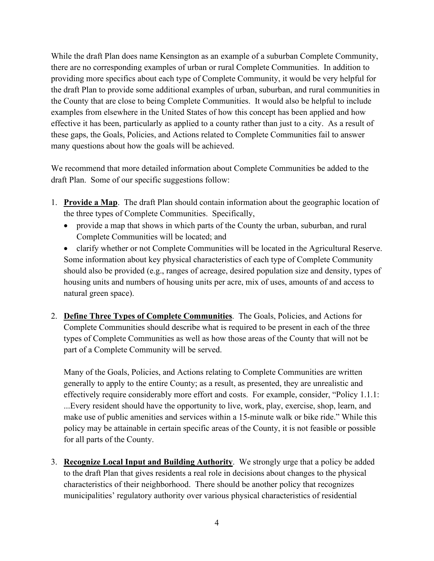While the draft Plan does name Kensington as an example of a suburban Complete Community, there are no corresponding examples of urban or rural Complete Communities. In addition to providing more specifics about each type of Complete Community, it would be very helpful for the draft Plan to provide some additional examples of urban, suburban, and rural communities in the County that are close to being Complete Communities. It would also be helpful to include examples from elsewhere in the United States of how this concept has been applied and how effective it has been, particularly as applied to a county rather than just to a city. As a result of these gaps, the Goals, Policies, and Actions related to Complete Communities fail to answer many questions about how the goals will be achieved.

We recommend that more detailed information about Complete Communities be added to the draft Plan. Some of our specific suggestions follow:

- 1. **Provide a Map**. The draft Plan should contain information about the geographic location of the three types of Complete Communities. Specifically,
	- provide a map that shows in which parts of the County the urban, suburban, and rural Complete Communities will be located; and
	- clarify whether or not Complete Communities will be located in the Agricultural Reserve. Some information about key physical characteristics of each type of Complete Community should also be provided (e.g., ranges of acreage, desired population size and density, types of housing units and numbers of housing units per acre, mix of uses, amounts of and access to natural green space).
- 2. **Define Three Types of Complete Communities**. The Goals, Policies, and Actions for Complete Communities should describe what is required to be present in each of the three types of Complete Communities as well as how those areas of the County that will not be part of a Complete Community will be served.

Many of the Goals, Policies, and Actions relating to Complete Communities are written generally to apply to the entire County; as a result, as presented, they are unrealistic and effectively require considerably more effort and costs. For example, consider, "Policy 1.1.1: ...Every resident should have the opportunity to live, work, play, exercise, shop, learn, and make use of public amenities and services within a 15-minute walk or bike ride." While this policy may be attainable in certain specific areas of the County, it is not feasible or possible for all parts of the County.

3. **Recognize Local Input and Building Authority**. We strongly urge that a policy be added to the draft Plan that gives residents a real role in decisions about changes to the physical characteristics of their neighborhood. There should be another policy that recognizes municipalities' regulatory authority over various physical characteristics of residential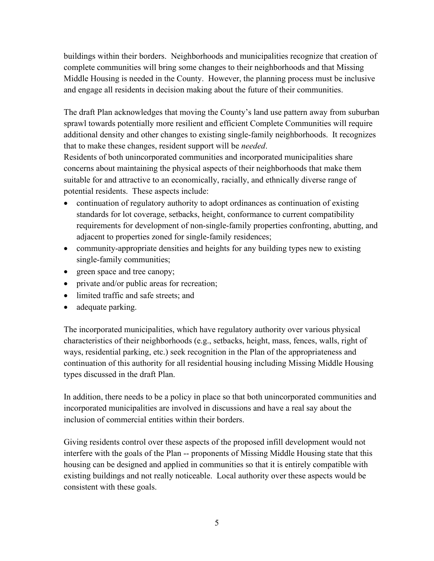buildings within their borders. Neighborhoods and municipalities recognize that creation of complete communities will bring some changes to their neighborhoods and that Missing Middle Housing is needed in the County. However, the planning process must be inclusive and engage all residents in decision making about the future of their communities.

The draft Plan acknowledges that moving the County's land use pattern away from suburban sprawl towards potentially more resilient and efficient Complete Communities will require additional density and other changes to existing single-family neighborhoods. It recognizes that to make these changes, resident support will be *needed*.

Residents of both unincorporated communities and incorporated municipalities share concerns about maintaining the physical aspects of their neighborhoods that make them suitable for and attractive to an economically, racially, and ethnically diverse range of potential residents. These aspects include:

- continuation of regulatory authority to adopt ordinances as continuation of existing standards for lot coverage, setbacks, height, conformance to current compatibility requirements for development of non-single-family properties confronting, abutting, and adjacent to properties zoned for single-family residences;
- community-appropriate densities and heights for any building types new to existing single-family communities;
- green space and tree canopy;
- private and/or public areas for recreation;
- limited traffic and safe streets; and
- adequate parking.

The incorporated municipalities, which have regulatory authority over various physical characteristics of their neighborhoods (e.g., setbacks, height, mass, fences, walls, right of ways, residential parking, etc.) seek recognition in the Plan of the appropriateness and continuation of this authority for all residential housing including Missing Middle Housing types discussed in the draft Plan.

In addition, there needs to be a policy in place so that both unincorporated communities and incorporated municipalities are involved in discussions and have a real say about the inclusion of commercial entities within their borders.

Giving residents control over these aspects of the proposed infill development would not interfere with the goals of the Plan -- proponents of Missing Middle Housing state that this housing can be designed and applied in communities so that it is entirely compatible with existing buildings and not really noticeable. Local authority over these aspects would be consistent with these goals.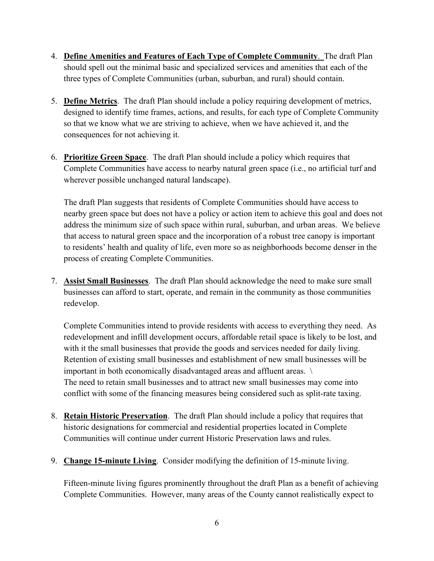- 4. **Define Amenities and Features of Each Type of Complete Community**. The draft Plan should spell out the minimal basic and specialized services and amenities that each of the three types of Complete Communities (urban, suburban, and rural) should contain.
- 5. **Define Metrics**. The draft Plan should include a policy requiring development of metrics, designed to identify time frames, actions, and results, for each type of Complete Community so that we know what we are striving to achieve, when we have achieved it, and the consequences for not achieving it.
- 6. **Prioritize Green Space**. The draft Plan should include a policy which requires that Complete Communities have access to nearby natural green space (i.e., no artificial turf and wherever possible unchanged natural landscape).

The draft Plan suggests that residents of Complete Communities should have access to nearby green space but does not have a policy or action item to achieve this goal and does not address the minimum size of such space within rural, suburban, and urban areas. We believe that access to natural green space and the incorporation of a robust tree canopy is important to residents' health and quality of life, even more so as neighborhoods become denser in the process of creating Complete Communities.

7. **Assist Small Businesses**. The draft Plan should acknowledge the need to make sure small businesses can afford to start, operate, and remain in the community as those communities redevelop.

Complete Communities intend to provide residents with access to everything they need. As redevelopment and infill development occurs, affordable retail space is likely to be lost, and with it the small businesses that provide the goods and services needed for daily living. Retention of existing small businesses and establishment of new small businesses will be important in both economically disadvantaged areas and affluent areas. \ The need to retain small businesses and to attract new small businesses may come into conflict with some of the financing measures being considered such as split-rate taxing.

- 8. **Retain Historic Preservation**. The draft Plan should include a policy that requires that historic designations for commercial and residential properties located in Complete Communities will continue under current Historic Preservation laws and rules.
- 9. **Change 15-minute Living**. Consider modifying the definition of 15-minute living.

Fifteen-minute living figures prominently throughout the draft Plan as a benefit of achieving Complete Communities. However, many areas of the County cannot realistically expect to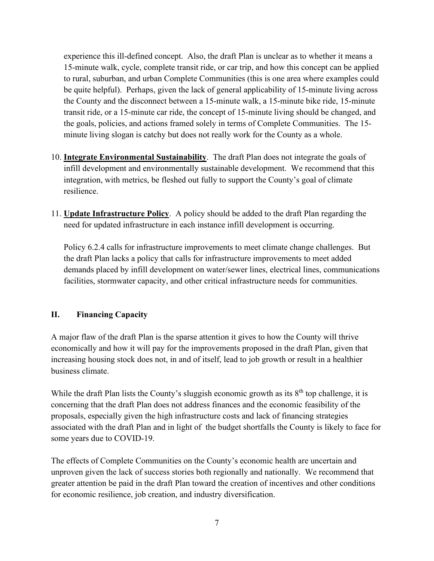experience this ill-defined concept. Also, the draft Plan is unclear as to whether it means a 15-minute walk, cycle, complete transit ride, or car trip, and how this concept can be applied to rural, suburban, and urban Complete Communities (this is one area where examples could be quite helpful). Perhaps, given the lack of general applicability of 15-minute living across the County and the disconnect between a 15-minute walk, a 15-minute bike ride, 15-minute transit ride, or a 15-minute car ride, the concept of 15-minute living should be changed, and the goals, policies, and actions framed solely in terms of Complete Communities. The 15 minute living slogan is catchy but does not really work for the County as a whole.

- 10. **Integrate Environmental Sustainability**. The draft Plan does not integrate the goals of infill development and environmentally sustainable development. We recommend that this integration, with metrics, be fleshed out fully to support the County's goal of climate resilience.
- 11. **Update Infrastructure Policy**. A policy should be added to the draft Plan regarding the need for updated infrastructure in each instance infill development is occurring.

Policy 6.2.4 calls for infrastructure improvements to meet climate change challenges. But the draft Plan lacks a policy that calls for infrastructure improvements to meet added demands placed by infill development on water/sewer lines, electrical lines, communications facilities, stormwater capacity, and other critical infrastructure needs for communities.

# **II. Financing Capacity**

A major flaw of the draft Plan is the sparse attention it gives to how the County will thrive economically and how it will pay for the improvements proposed in the draft Plan, given that increasing housing stock does not, in and of itself, lead to job growth or result in a healthier business climate.

While the draft Plan lists the County's sluggish economic growth as its  $8<sup>th</sup>$  top challenge, it is concerning that the draft Plan does not address finances and the economic feasibility of the proposals, especially given the high infrastructure costs and lack of financing strategies associated with the draft Plan and in light of the budget shortfalls the County is likely to face for some years due to COVID-19.

The effects of Complete Communities on the County's economic health are uncertain and unproven given the lack of success stories both regionally and nationally. We recommend that greater attention be paid in the draft Plan toward the creation of incentives and other conditions for economic resilience, job creation, and industry diversification.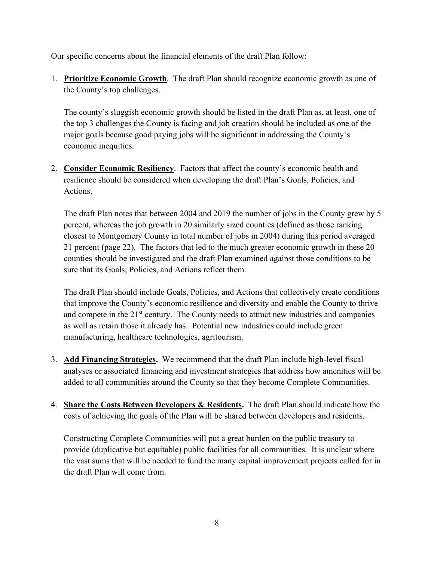Our specific concerns about the financial elements of the draft Plan follow:

1. **Prioritize Economic Growth**. The draft Plan should recognize economic growth as one of the County's top challenges.

The county's sluggish economic growth should be listed in the draft Plan as, at least, one of the top 3 challenges the County is facing and job creation should be included as one of the major goals because good paying jobs will be significant in addressing the County's economic inequities.

2. **Consider Economic Resiliency**. Factors that affect the county's economic health and resilience should be considered when developing the draft Plan's Goals, Policies, and Actions.

The draft Plan notes that between 2004 and 2019 the number of jobs in the County grew by 5 percent, whereas the job growth in 20 similarly sized counties (defined as those ranking closest to Montgomery County in total number of jobs in 2004) during this period averaged 21 percent (page 22). The factors that led to the much greater economic growth in these 20 counties should be investigated and the draft Plan examined against those conditions to be sure that its Goals, Policies, and Actions reflect them.

The draft Plan should include Goals, Policies, and Actions that collectively create conditions that improve the County's economic resilience and diversity and enable the County to thrive and compete in the  $21<sup>st</sup>$  century. The County needs to attract new industries and companies as well as retain those it already has. Potential new industries could include green manufacturing, healthcare technologies, agritourism.

- 3. **Add Financing Strategies.** We recommend that the draft Plan include high-level fiscal analyses or associated financing and investment strategies that address how amenities will be added to all communities around the County so that they become Complete Communities.
- 4. **Share the Costs Between Developers & Residents.** The draft Plan should indicate how the costs of achieving the goals of the Plan will be shared between developers and residents.

Constructing Complete Communities will put a great burden on the public treasury to provide (duplicative but equitable) public facilities for all communities. It is unclear where the vast sums that will be needed to fund the many capital improvement projects called for in the draft Plan will come from.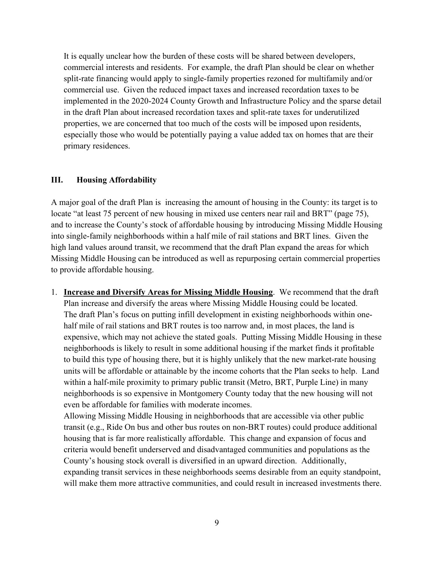It is equally unclear how the burden of these costs will be shared between developers, commercial interests and residents. For example, the draft Plan should be clear on whether split-rate financing would apply to single-family properties rezoned for multifamily and/or commercial use. Given the reduced impact taxes and increased recordation taxes to be implemented in the 2020-2024 County Growth and Infrastructure Policy and the sparse detail in the draft Plan about increased recordation taxes and split-rate taxes for underutilized properties, we are concerned that too much of the costs will be imposed upon residents, especially those who would be potentially paying a value added tax on homes that are their primary residences.

#### **III. Housing Affordability**

A major goal of the draft Plan is increasing the amount of housing in the County: its target is to locate "at least 75 percent of new housing in mixed use centers near rail and BRT" (page 75), and to increase the County's stock of affordable housing by introducing Missing Middle Housing into single-family neighborhoods within a half mile of rail stations and BRT lines. Given the high land values around transit, we recommend that the draft Plan expand the areas for which Missing Middle Housing can be introduced as well as repurposing certain commercial properties to provide affordable housing.

1. **Increase and Diversify Areas for Missing Middle Housing**. We recommend that the draft Plan increase and diversify the areas where Missing Middle Housing could be located. The draft Plan's focus on putting infill development in existing neighborhoods within onehalf mile of rail stations and BRT routes is too narrow and, in most places, the land is expensive, which may not achieve the stated goals. Putting Missing Middle Housing in these neighborhoods is likely to result in some additional housing if the market finds it profitable to build this type of housing there, but it is highly unlikely that the new market-rate housing units will be affordable or attainable by the income cohorts that the Plan seeks to help. Land within a half-mile proximity to primary public transit (Metro, BRT, Purple Line) in many neighborhoods is so expensive in Montgomery County today that the new housing will not even be affordable for families with moderate incomes.

Allowing Missing Middle Housing in neighborhoods that are accessible via other public transit (e.g., Ride On bus and other bus routes on non-BRT routes) could produce additional housing that is far more realistically affordable. This change and expansion of focus and criteria would benefit underserved and disadvantaged communities and populations as the County's housing stock overall is diversified in an upward direction. Additionally, expanding transit services in these neighborhoods seems desirable from an equity standpoint, will make them more attractive communities, and could result in increased investments there.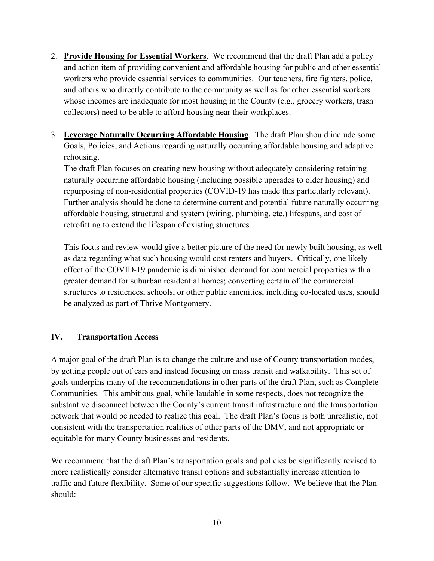- 2. **Provide Housing for Essential Workers**. We recommend that the draft Plan add a policy and action item of providing convenient and affordable housing for public and other essential workers who provide essential services to communities. Our teachers, fire fighters, police, and others who directly contribute to the community as well as for other essential workers whose incomes are inadequate for most housing in the County (e.g., grocery workers, trash collectors) need to be able to afford housing near their workplaces.
- 3. **Leverage Naturally Occurring Affordable Housing**. The draft Plan should include some Goals, Policies, and Actions regarding naturally occurring affordable housing and adaptive rehousing.

The draft Plan focuses on creating new housing without adequately considering retaining naturally occurring affordable housing (including possible upgrades to older housing) and repurposing of non-residential properties (COVID-19 has made this particularly relevant). Further analysis should be done to determine current and potential future naturally occurring affordable housing, structural and system (wiring, plumbing, etc.) lifespans, and cost of retrofitting to extend the lifespan of existing structures.

This focus and review would give a better picture of the need for newly built housing, as well as data regarding what such housing would cost renters and buyers. Critically, one likely effect of the COVID-19 pandemic is diminished demand for commercial properties with a greater demand for suburban residential homes; converting certain of the commercial structures to residences, schools, or other public amenities, including co-located uses, should be analyzed as part of Thrive Montgomery.

#### **IV. Transportation Access**

A major goal of the draft Plan is to change the culture and use of County transportation modes, by getting people out of cars and instead focusing on mass transit and walkability. This set of goals underpins many of the recommendations in other parts of the draft Plan, such as Complete Communities. This ambitious goal, while laudable in some respects, does not recognize the substantive disconnect between the County's current transit infrastructure and the transportation network that would be needed to realize this goal. The draft Plan's focus is both unrealistic, not consistent with the transportation realities of other parts of the DMV, and not appropriate or equitable for many County businesses and residents.

We recommend that the draft Plan's transportation goals and policies be significantly revised to more realistically consider alternative transit options and substantially increase attention to traffic and future flexibility. Some of our specific suggestions follow. We believe that the Plan should: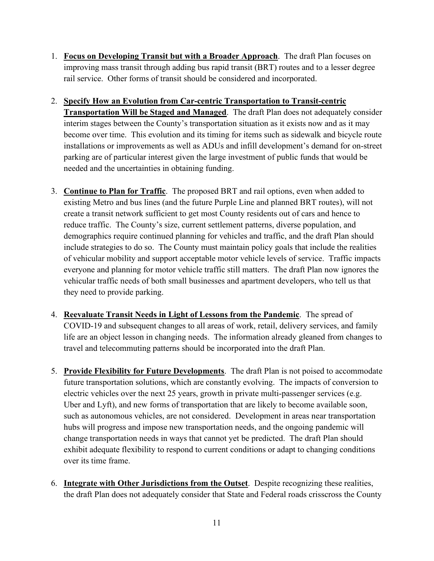- 1. **Focus on Developing Transit but with a Broader Approach**. The draft Plan focuses on improving mass transit through adding bus rapid transit (BRT) routes and to a lesser degree rail service. Other forms of transit should be considered and incorporated.
- 2. **Specify How an Evolution from Car-centric Transportation to Transit-centric Transportation Will be Staged and Managed**. The draft Plan does not adequately consider interim stages between the County's transportation situation as it exists now and as it may become over time. This evolution and its timing for items such as sidewalk and bicycle route installations or improvements as well as ADUs and infill development's demand for on-street parking are of particular interest given the large investment of public funds that would be needed and the uncertainties in obtaining funding.
- 3. **Continue to Plan for Traffic**. The proposed BRT and rail options, even when added to existing Metro and bus lines (and the future Purple Line and planned BRT routes), will not create a transit network sufficient to get most County residents out of cars and hence to reduce traffic. The County's size, current settlement patterns, diverse population, and demographics require continued planning for vehicles and traffic, and the draft Plan should include strategies to do so. The County must maintain policy goals that include the realities of vehicular mobility and support acceptable motor vehicle levels of service. Traffic impacts everyone and planning for motor vehicle traffic still matters. The draft Plan now ignores the vehicular traffic needs of both small businesses and apartment developers, who tell us that they need to provide parking.
- 4. **Reevaluate Transit Needs in Light of Lessons from the Pandemic**. The spread of COVID-19 and subsequent changes to all areas of work, retail, delivery services, and family life are an object lesson in changing needs. The information already gleaned from changes to travel and telecommuting patterns should be incorporated into the draft Plan.
- 5. **Provide Flexibility for Future Developments**. The draft Plan is not poised to accommodate future transportation solutions, which are constantly evolving. The impacts of conversion to electric vehicles over the next 25 years, growth in private multi-passenger services (e.g. Uber and Lyft), and new forms of transportation that are likely to become available soon, such as autonomous vehicles, are not considered. Development in areas near transportation hubs will progress and impose new transportation needs, and the ongoing pandemic will change transportation needs in ways that cannot yet be predicted. The draft Plan should exhibit adequate flexibility to respond to current conditions or adapt to changing conditions over its time frame.
- 6. **Integrate with Other Jurisdictions from the Outset**. Despite recognizing these realities, the draft Plan does not adequately consider that State and Federal roads crisscross the County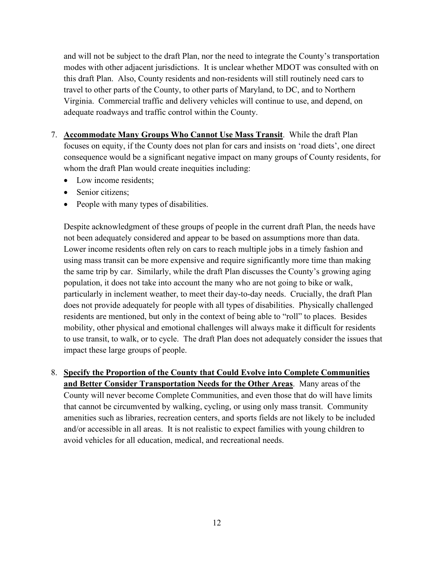and will not be subject to the draft Plan, nor the need to integrate the County's transportation modes with other adjacent jurisdictions. It is unclear whether MDOT was consulted with on this draft Plan. Also, County residents and non-residents will still routinely need cars to travel to other parts of the County, to other parts of Maryland, to DC, and to Northern Virginia. Commercial traffic and delivery vehicles will continue to use, and depend, on adequate roadways and traffic control within the County.

- 7. **Accommodate Many Groups Who Cannot Use Mass Transit**. While the draft Plan focuses on equity, if the County does not plan for cars and insists on 'road diets', one direct consequence would be a significant negative impact on many groups of County residents, for whom the draft Plan would create inequities including:
	- Low income residents:
	- Senior citizens:
	- People with many types of disabilities.

Despite acknowledgment of these groups of people in the current draft Plan, the needs have not been adequately considered and appear to be based on assumptions more than data. Lower income residents often rely on cars to reach multiple jobs in a timely fashion and using mass transit can be more expensive and require significantly more time than making the same trip by car. Similarly, while the draft Plan discusses the County's growing aging population, it does not take into account the many who are not going to bike or walk, particularly in inclement weather, to meet their day-to-day needs. Crucially, the draft Plan does not provide adequately for people with all types of disabilities. Physically challenged residents are mentioned, but only in the context of being able to "roll" to places. Besides mobility, other physical and emotional challenges will always make it difficult for residents to use transit, to walk, or to cycle. The draft Plan does not adequately consider the issues that impact these large groups of people.

8. **Specify the Proportion of the County that Could Evolve into Complete Communities and Better Consider Transportation Needs for the Other Areas**. Many areas of the County will never become Complete Communities, and even those that do will have limits that cannot be circumvented by walking, cycling, or using only mass transit. Community amenities such as libraries, recreation centers, and sports fields are not likely to be included and/or accessible in all areas. It is not realistic to expect families with young children to avoid vehicles for all education, medical, and recreational needs.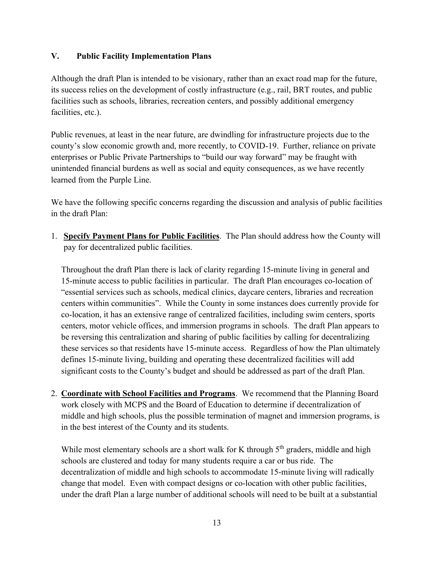#### **V. Public Facility Implementation Plans**

Although the draft Plan is intended to be visionary, rather than an exact road map for the future, its success relies on the development of costly infrastructure (e.g., rail, BRT routes, and public facilities such as schools, libraries, recreation centers, and possibly additional emergency facilities, etc.).

Public revenues, at least in the near future, are dwindling for infrastructure projects due to the county's slow economic growth and, more recently, to COVID-19. Further, reliance on private enterprises or Public Private Partnerships to "build our way forward" may be fraught with unintended financial burdens as well as social and equity consequences, as we have recently learned from the Purple Line.

We have the following specific concerns regarding the discussion and analysis of public facilities in the draft Plan:

1. **Specify Payment Plans for Public Facilities**. The Plan should address how the County will pay for decentralized public facilities.

Throughout the draft Plan there is lack of clarity regarding 15-minute living in general and 15-minute access to public facilities in particular. The draft Plan encourages co-location of "essential services such as schools, medical clinics, daycare centers, libraries and recreation centers within communities". While the County in some instances does currently provide for co-location, it has an extensive range of centralized facilities, including swim centers, sports centers, motor vehicle offices, and immersion programs in schools. The draft Plan appears to be reversing this centralization and sharing of public facilities by calling for decentralizing these services so that residents have 15-minute access. Regardless of how the Plan ultimately defines 15-minute living, building and operating these decentralized facilities will add significant costs to the County's budget and should be addressed as part of the draft Plan.

2. **Coordinate with School Facilities and Programs**. We recommend that the Planning Board work closely with MCPS and the Board of Education to determine if decentralization of middle and high schools, plus the possible termination of magnet and immersion programs, is in the best interest of the County and its students.

While most elementary schools are a short walk for K through  $5<sup>th</sup>$  graders, middle and high schools are clustered and today for many students require a car or bus ride. The decentralization of middle and high schools to accommodate 15-minute living will radically change that model. Even with compact designs or co-location with other public facilities, under the draft Plan a large number of additional schools will need to be built at a substantial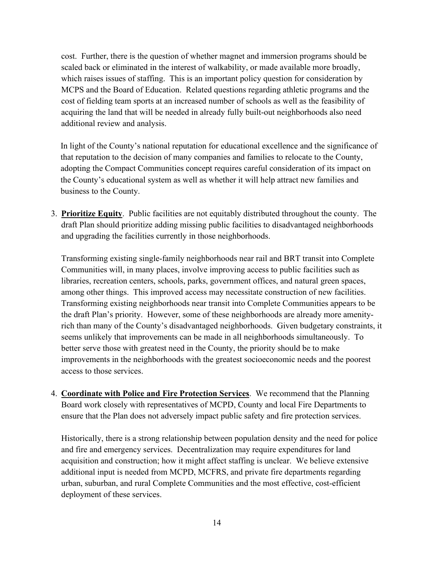cost. Further, there is the question of whether magnet and immersion programs should be scaled back or eliminated in the interest of walkability, or made available more broadly, which raises issues of staffing. This is an important policy question for consideration by MCPS and the Board of Education. Related questions regarding athletic programs and the cost of fielding team sports at an increased number of schools as well as the feasibility of acquiring the land that will be needed in already fully built-out neighborhoods also need additional review and analysis.

In light of the County's national reputation for educational excellence and the significance of that reputation to the decision of many companies and families to relocate to the County, adopting the Compact Communities concept requires careful consideration of its impact on the County's educational system as well as whether it will help attract new families and business to the County.

3. **Prioritize Equity**. Public facilities are not equitably distributed throughout the county. The draft Plan should prioritize adding missing public facilities to disadvantaged neighborhoods and upgrading the facilities currently in those neighborhoods.

Transforming existing single-family neighborhoods near rail and BRT transit into Complete Communities will, in many places, involve improving access to public facilities such as libraries, recreation centers, schools, parks, government offices, and natural green spaces, among other things. This improved access may necessitate construction of new facilities. Transforming existing neighborhoods near transit into Complete Communities appears to be the draft Plan's priority. However, some of these neighborhoods are already more amenityrich than many of the County's disadvantaged neighborhoods. Given budgetary constraints, it seems unlikely that improvements can be made in all neighborhoods simultaneously. To better serve those with greatest need in the County, the priority should be to make improvements in the neighborhoods with the greatest socioeconomic needs and the poorest access to those services.

4. **Coordinate with Police and Fire Protection Services**. We recommend that the Planning Board work closely with representatives of MCPD, County and local Fire Departments to ensure that the Plan does not adversely impact public safety and fire protection services.

Historically, there is a strong relationship between population density and the need for police and fire and emergency services. Decentralization may require expenditures for land acquisition and construction; how it might affect staffing is unclear. We believe extensive additional input is needed from MCPD, MCFRS, and private fire departments regarding urban, suburban, and rural Complete Communities and the most effective, cost-efficient deployment of these services.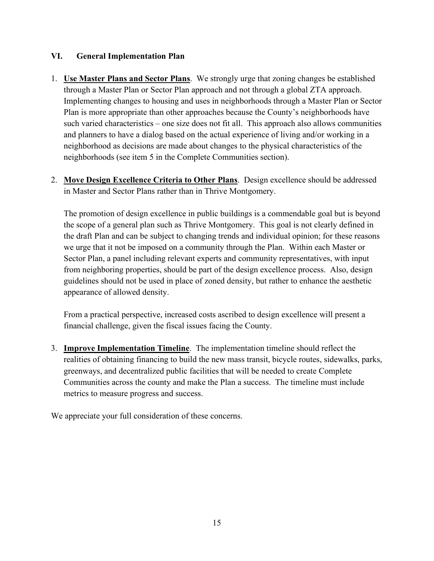#### **VI. General Implementation Plan**

- 1. **Use Master Plans and Sector Plans**. We strongly urge that zoning changes be established through a Master Plan or Sector Plan approach and not through a global ZTA approach. Implementing changes to housing and uses in neighborhoods through a Master Plan or Sector Plan is more appropriate than other approaches because the County's neighborhoods have such varied characteristics – one size does not fit all. This approach also allows communities and planners to have a dialog based on the actual experience of living and/or working in a neighborhood as decisions are made about changes to the physical characteristics of the neighborhoods (see item 5 in the Complete Communities section).
- 2. **Move Design Excellence Criteria to Other Plans**. Design excellence should be addressed in Master and Sector Plans rather than in Thrive Montgomery.

The promotion of design excellence in public buildings is a commendable goal but is beyond the scope of a general plan such as Thrive Montgomery. This goal is not clearly defined in the draft Plan and can be subject to changing trends and individual opinion; for these reasons we urge that it not be imposed on a community through the Plan. Within each Master or Sector Plan, a panel including relevant experts and community representatives, with input from neighboring properties, should be part of the design excellence process. Also, design guidelines should not be used in place of zoned density, but rather to enhance the aesthetic appearance of allowed density.

From a practical perspective, increased costs ascribed to design excellence will present a financial challenge, given the fiscal issues facing the County.

3. **Improve Implementation Timeline**. The implementation timeline should reflect the realities of obtaining financing to build the new mass transit, bicycle routes, sidewalks, parks, greenways, and decentralized public facilities that will be needed to create Complete Communities across the county and make the Plan a success. The timeline must include metrics to measure progress and success.

We appreciate your full consideration of these concerns.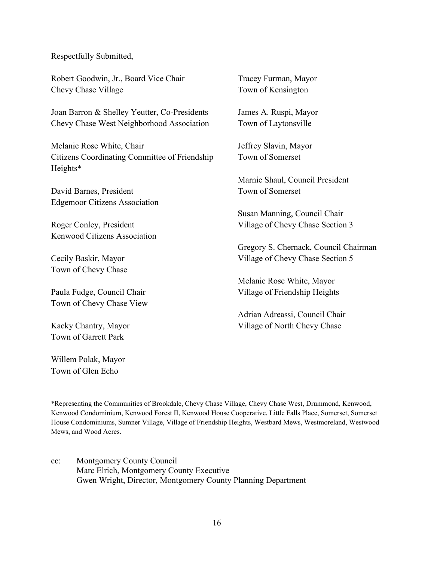Respectfully Submitted,

Robert Goodwin, Jr., Board Vice Chair Chevy Chase Village

Joan Barron & Shelley Yeutter, Co-Presidents Chevy Chase West Neighborhood Association

Melanie Rose White, Chair Citizens Coordinating Committee of Friendship Heights\*

David Barnes, President Edgemoor Citizens Association

Roger Conley, President Kenwood Citizens Association

Cecily Baskir, Mayor Town of Chevy Chase

Paula Fudge, Council Chair Town of Chevy Chase View

Kacky Chantry, Mayor Town of Garrett Park

Willem Polak, Mayor Town of Glen Echo

Tracey Furman, Mayor Town of Kensington

James A. Ruspi, Mayor Town of Laytonsville

Jeffrey Slavin, Mayor Town of Somerset

Marnie Shaul, Council President Town of Somerset

Susan Manning, Council Chair Village of Chevy Chase Section 3

Gregory S. Chernack, Council Chairman Village of Chevy Chase Section 5

Melanie Rose White, Mayor Village of Friendship Heights

Adrian Adreassi, Council Chair Village of North Chevy Chase

\*Representing the Communities of Brookdale, Chevy Chase Village, Chevy Chase West, Drummond, Kenwood, Kenwood Condominium, Kenwood Forest II, Kenwood House Cooperative, Little Falls Place, Somerset, Somerset House Condominiums, Sumner Village, Village of Friendship Heights, Westbard Mews, Westmoreland, Westwood Mews, and Wood Acres.

cc: Montgomery County Council Marc Elrich, Montgomery County Executive Gwen Wright, Director, Montgomery County Planning Department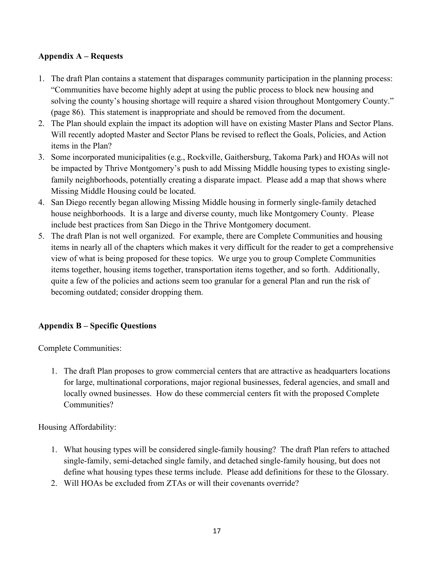# **Appendix A – Requests**

- 1. The draft Plan contains a statement that disparages community participation in the planning process: "Communities have become highly adept at using the public process to block new housing and solving the county's housing shortage will require a shared vision throughout Montgomery County." (page 86). This statement is inappropriate and should be removed from the document.
- 2. The Plan should explain the impact its adoption will have on existing Master Plans and Sector Plans. Will recently adopted Master and Sector Plans be revised to reflect the Goals, Policies, and Action items in the Plan?
- 3. Some incorporated municipalities (e.g., Rockville, Gaithersburg, Takoma Park) and HOAs will not be impacted by Thrive Montgomery's push to add Missing Middle housing types to existing singlefamily neighborhoods, potentially creating a disparate impact. Please add a map that shows where Missing Middle Housing could be located.
- 4. San Diego recently began allowing Missing Middle housing in formerly single-family detached house neighborhoods. It is a large and diverse county, much like Montgomery County. Please include best practices from San Diego in the Thrive Montgomery document.
- 5. The draft Plan is not well organized. For example, there are Complete Communities and housing items in nearly all of the chapters which makes it very difficult for the reader to get a comprehensive view of what is being proposed for these topics. We urge you to group Complete Communities items together, housing items together, transportation items together, and so forth. Additionally, quite a few of the policies and actions seem too granular for a general Plan and run the risk of becoming outdated; consider dropping them.

# **Appendix B – Specific Questions**

Complete Communities:

1. The draft Plan proposes to grow commercial centers that are attractive as headquarters locations for large, multinational corporations, major regional businesses, federal agencies, and small and locally owned businesses. How do these commercial centers fit with the proposed Complete Communities?

Housing Affordability:

- 1. What housing types will be considered single-family housing? The draft Plan refers to attached single-family, semi-detached single family, and detached single-family housing, but does not define what housing types these terms include. Please add definitions for these to the Glossary.
- 2. Will HOAs be excluded from ZTAs or will their covenants override?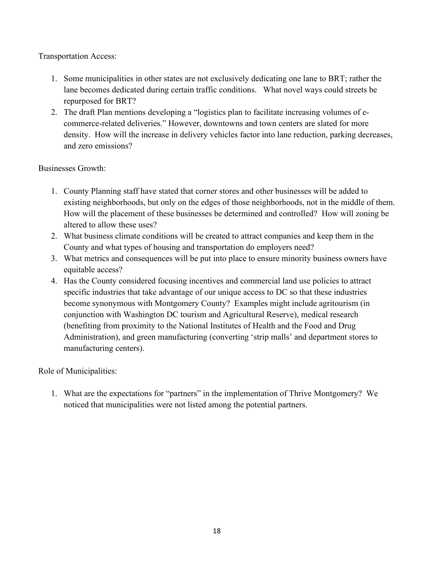Transportation Access:

- 1. Some municipalities in other states are not exclusively dedicating one lane to BRT; rather the lane becomes dedicated during certain traffic conditions. What novel ways could streets be repurposed for BRT?
- 2. The draft Plan mentions developing a "logistics plan to facilitate increasing volumes of ecommerce-related deliveries." However, downtowns and town centers are slated for more density. How will the increase in delivery vehicles factor into lane reduction, parking decreases, and zero emissions?

# Businesses Growth:

- 1. County Planning staff have stated that corner stores and other businesses will be added to existing neighborhoods, but only on the edges of those neighborhoods, not in the middle of them. How will the placement of these businesses be determined and controlled? How will zoning be altered to allow these uses?
- 2. What business climate conditions will be created to attract companies and keep them in the County and what types of housing and transportation do employers need?
- 3. What metrics and consequences will be put into place to ensure minority business owners have equitable access?
- 4. Has the County considered focusing incentives and commercial land use policies to attract specific industries that take advantage of our unique access to DC so that these industries become synonymous with Montgomery County? Examples might include agritourism (in conjunction with Washington DC tourism and Agricultural Reserve), medical research (benefiting from proximity to the National Institutes of Health and the Food and Drug Administration), and green manufacturing (converting 'strip malls' and department stores to manufacturing centers).

# Role of Municipalities:

1. What are the expectations for "partners" in the implementation of Thrive Montgomery? We noticed that municipalities were not listed among the potential partners.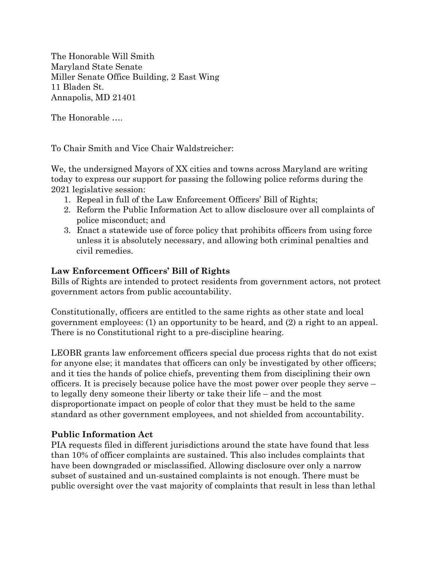The Honorable Will Smith Maryland State Senate Miller Senate Office Building, 2 East Wing 11 Bladen St. Annapolis, MD 21401

The Honorable ….

To Chair Smith and Vice Chair Waldstreicher:

We, the undersigned Mayors of XX cities and towns across Maryland are writing today to express our support for passing the following police reforms during the 2021 legislative session:

- 1. Repeal in full of the Law Enforcement Officers' Bill of Rights;
- 2. Reform the Public Information Act to allow disclosure over all complaints of police misconduct; and
- 3. Enact a statewide use of force policy that prohibits officers from using force unless it is absolutely necessary, and allowing both criminal penalties and civil remedies.

# **Law Enforcement Officers' Bill of Rights**

Bills of Rights are intended to protect residents from government actors, not protect government actors from public accountability.

Constitutionally, officers are entitled to the same rights as other state and local government employees: (1) an opportunity to be heard, and (2) a right to an appeal. There is no Constitutional right to a pre-discipline hearing.

LEOBR grants law enforcement officers special due process rights that do not exist for anyone else; it mandates that officers can only be investigated by other officers; and it ties the hands of police chiefs, preventing them from disciplining their own officers. It is precisely because police have the most power over people they serve – to legally deny someone their liberty or take their life – and the most disproportionate impact on people of color that they must be held to the same standard as other government employees, and not shielded from accountability.

# **Public Information Act**

PIA requests filed in different jurisdictions around the state have found that less than 10% of officer complaints are sustained. This also includes complaints that have been downgraded or misclassified. Allowing disclosure over only a narrow subset of sustained and un-sustained complaints is not enough. There must be public oversight over the vast majority of complaints that result in less than lethal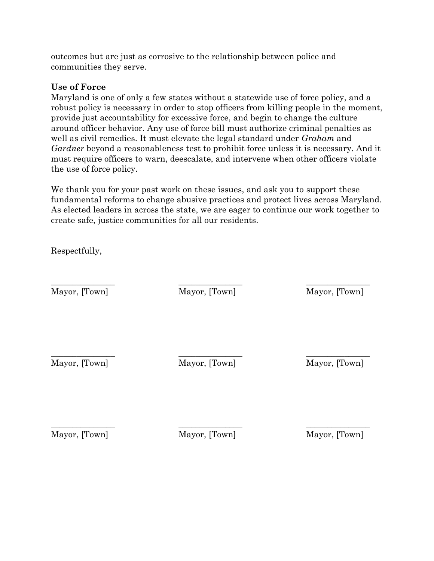outcomes but are just as corrosive to the relationship between police and communities they serve.

# **Use of Force**

Maryland is one of only a few states without a statewide use of force policy, and a robust policy is necessary in order to stop officers from killing people in the moment, provide just accountability for excessive force, and begin to change the culture around officer behavior. Any use of force bill must authorize criminal penalties as well as civil remedies. It must elevate the legal standard under *Graham* and *Gardner* beyond a reasonableness test to prohibit force unless it is necessary. And it must require officers to warn, deescalate, and intervene when other officers violate the use of force policy.

We thank you for your past work on these issues, and ask you to support these fundamental reforms to change abusive practices and protect lives across Maryland. As elected leaders in across the state, we are eager to continue our work together to create safe, justice communities for all our residents.

Respectfully,

Mayor, [Town] Mayor, [Town] Mayor, [Town] Mayor, [Town]

\_\_\_\_\_\_\_\_\_\_\_\_\_\_\_ \_\_\_\_\_\_\_\_\_\_\_\_\_\_\_ \_\_\_\_\_\_\_\_\_\_\_\_\_\_\_

Mayor, [Town] Mayor, [Town] Mayor, [Town] Mayor, [Town]

\_\_\_\_\_\_\_\_\_\_\_\_\_\_\_ \_\_\_\_\_\_\_\_\_\_\_\_\_\_\_ \_\_\_\_\_\_\_\_\_\_\_\_\_\_\_

\_\_\_\_\_\_\_\_\_\_\_\_\_\_\_ \_\_\_\_\_\_\_\_\_\_\_\_\_\_\_ \_\_\_\_\_\_\_\_\_\_\_\_\_\_\_ Mayor, [Town] Mayor, [Town] Mayor, [Town] Mayor, [Town]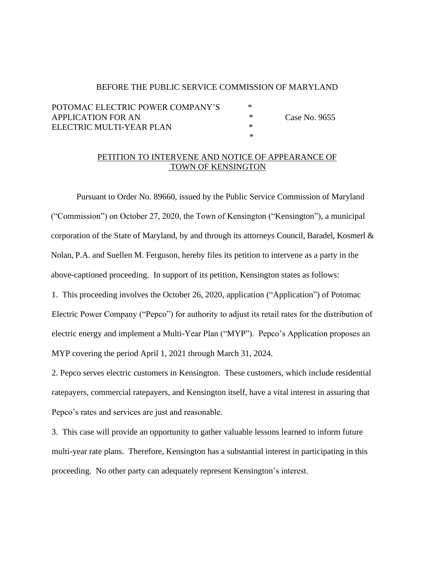#### BEFORE THE PUBLIC SERVICE COMMISSION OF MARYLAND

| POTOMAC ELECTRIC POWER COMPANY'S | ж |               |
|----------------------------------|---|---------------|
| APPLICATION FOR AN               | ∗ | Case No. 9655 |
| ELECTRIC MULTI-YEAR PLAN         | ж |               |
|                                  |   |               |

#### PETITION TO INTERVENE AND NOTICE OF APPEARANCE OF TOWN OF KENSINGTON

Pursuant to Order No. 89660, issued by the Public Service Commission of Maryland ("Commission") on October 27, 2020, the Town of Kensington ("Kensington"), a municipal corporation of the State of Maryland, by and through its attorneys Council, Baradel, Kosmerl & Nolan, P.A. and Suellen M. Ferguson, hereby files its petition to intervene as a party in the above-captioned proceeding. In support of its petition, Kensington states as follows: 1. This proceeding involves the October 26, 2020, application ("Application") of Potomac Electric Power Company ("Pepco") for authority to adjust its retail rates for the distribution of

electric energy and implement a Multi-Year Plan ("MYP"). Pepco's Application proposes an MYP covering the period April 1, 2021 through March 31, 2024.

2. Pepco serves electric customers in Kensington. These customers, which include residential ratepayers, commercial ratepayers, and Kensington itself, have a vital interest in assuring that Pepco's rates and services are just and reasonable.

3. This case will provide an opportunity to gather valuable lessons learned to inform future multi-year rate plans. Therefore, Kensington has a substantial interest in participating in this proceeding. No other party can adequately represent Kensington's interest.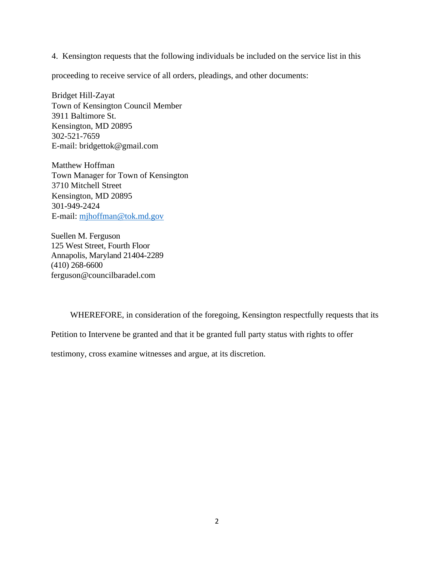4. Kensington requests that the following individuals be included on the service list in this

proceeding to receive service of all orders, pleadings, and other documents:

Bridget Hill-Zayat Town of Kensington Council Member 3911 Baltimore St. Kensington, MD 20895 302-521-7659 E-mail: bridgettok@gmail.com

Matthew Hoffman Town Manager for Town of Kensington 3710 Mitchell Street Kensington, MD 20895 301-949-2424 E-mail: [mjhoffman@tok.md.gov](mailto:mjhoffman@tok.md.gov)

Suellen M. Ferguson 125 West Street, Fourth Floor Annapolis, Maryland 21404-2289 (410) 268-6600 ferguson@councilbaradel.com

WHEREFORE, in consideration of the foregoing, Kensington respectfully requests that its

Petition to Intervene be granted and that it be granted full party status with rights to offer

testimony, cross examine witnesses and argue, at its discretion.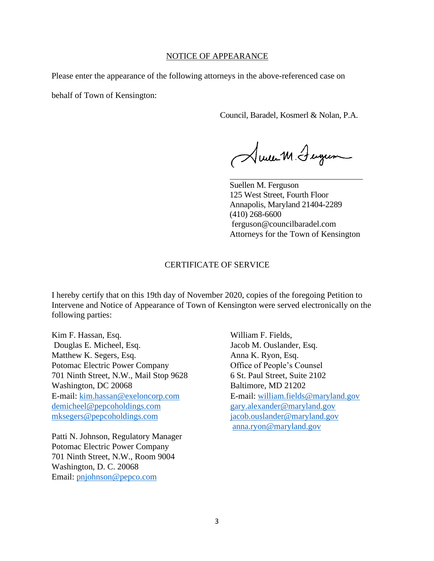#### NOTICE OF APPEARANCE

Please enter the appearance of the following attorneys in the above-referenced case on

behalf of Town of Kensington:

Council, Baradel, Kosmerl & Nolan, P.A.

Amer M. Jugum

Suellen M. Ferguson 125 West Street, Fourth Floor Annapolis, Maryland 21404-2289 (410) 268-6600 ferguson@councilbaradel.com Attorneys for the Town of Kensington

#### CERTIFICATE OF SERVICE

 $\overline{a}$ 

I hereby certify that on this 19th day of November 2020, copies of the foregoing Petition to Intervene and Notice of Appearance of Town of Kensington were served electronically on the following parties:

Kim F. Hassan, Esq. Douglas E. Micheel, Esq. Matthew K. Segers, Esq. Potomac Electric Power Company 701 Ninth Street, N.W., Mail Stop 9628 Washington, DC 20068 E-mail: [kim.hassan@exeloncorp.com](mailto:kim.hassan@exeloncorp.com) [demicheel@pepcoholdings.com](mailto:demicheel@pepcoholdings.com) [mksegers@pepcoholdings.com](mailto:mksegers@pepcoholdings.com)

Patti N. Johnson, Regulatory Manager Potomac Electric Power Company 701 Ninth Street, N.W., Room 9004 Washington, D. C. 20068 Email: [pnjohnson@pepco.com](mailto:pnjohnson@pepco.com)

William F. Fields, Jacob M. Ouslander, Esq. Anna K. Ryon, Esq. Office of People's Counsel 6 St. Paul Street, Suite 2102 Baltimore, MD 21202 E-mail: [william.fields@maryland.gov](mailto:william.fields@maryland.gov) [gary.alexander@maryland.gov](mailto:gary.alexander@maryland.gov) [jacob.ouslander@maryland.gov](mailto:jacob.ouslander@maryland.gov) [anna.ryon@maryland.gov](mailto:anna.ryon@maryland.gov)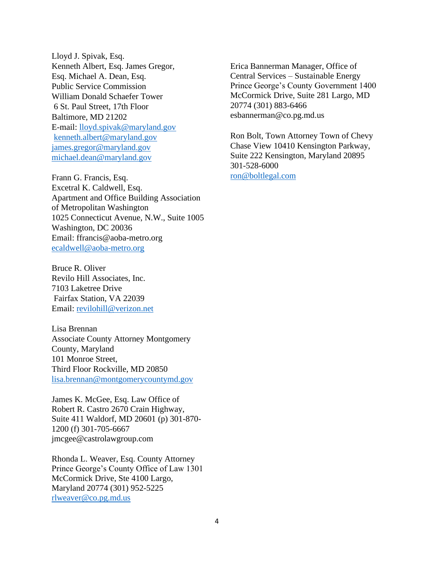Lloyd J. Spivak, Esq. Kenneth Albert, Esq. James Gregor, Esq. Michael A. Dean, Esq. Public Service Commission William Donald Schaefer Tower 6 St. Paul Street, 17th Floor Baltimore, MD 21202 E-mail: [lloyd.spivak@maryland.gov](mailto:lloyd.spivak@maryland.gov) [kenneth.albert@maryland.gov](mailto:kenneth.albert@maryland.gov) [james.gregor@maryland.gov](mailto:james.gregor@maryland.gov) [michael.dean@maryland.gov](mailto:michael.dean@maryland.gov)

Frann G. Francis, Esq. Excetral K. Caldwell, Esq. Apartment and Office Building Association of Metropolitan Washington 1025 Connecticut Avenue, N.W., Suite 1005 Washington, DC 20036 Email: ffrancis@aoba-metro.org [ecaldwell@aoba-metro.org](mailto:ecaldwell@aoba-metro.org)

Bruce R. Oliver Revilo Hill Associates, Inc. 7103 Laketree Drive Fairfax Station, VA 22039 Email: [revilohill@verizon.net](mailto:revilohill@verizon.net)

Lisa Brennan Associate County Attorney Montgomery County, Maryland 101 Monroe Street, Third Floor Rockville, MD 20850 [lisa.brennan@montgomerycountymd.gov](mailto:lisa.brennan@montgomerycountymd.gov)

James K. McGee, Esq. Law Office of Robert R. Castro 2670 Crain Highway, Suite 411 Waldorf, MD 20601 (p) 301-870- 1200 (f) 301-705-6667 jmcgee@castrolawgroup.com

Rhonda L. Weaver, Esq. County Attorney Prince George's County Office of Law 1301 McCormick Drive, Ste 4100 Largo, Maryland 20774 (301) 952-5225 [rlweaver@co.pg.md.us](mailto:rlweaver@co.pg.md.us)

Erica Bannerman Manager, Office of Central Services – Sustainable Energy Prince George's County Government 1400 McCormick Drive, Suite 281 Largo, MD 20774 (301) 883-6466 esbannerman@co.pg.md.us

Ron Bolt, Town Attorney Town of Chevy Chase View 10410 Kensington Parkway, Suite 222 Kensington, Maryland 20895 301-528-6000 [ron@boltlegal.com](mailto:ron@boltlegal.com)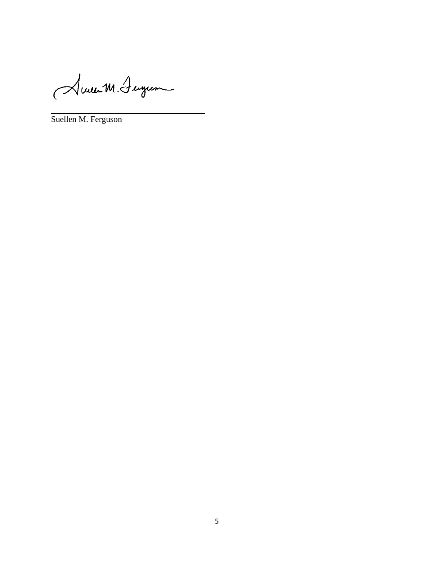Auce M. Jugen

Suellen M. Ferguson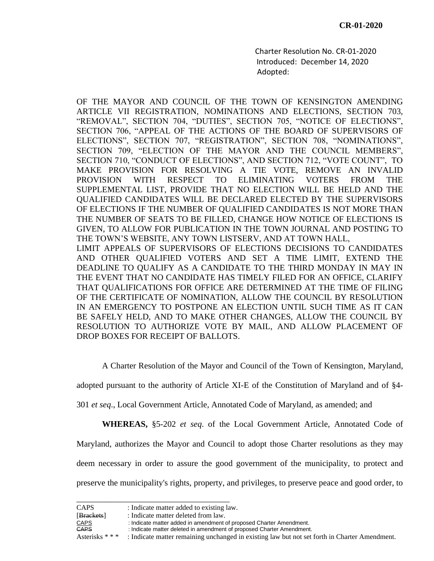Charter Resolution No. CR-01-2020 Introduced: December 14, 2020 Adopted:

OF THE MAYOR AND COUNCIL OF THE TOWN OF KENSINGTON AMENDING ARTICLE VII REGISTRATION, NOMINATIONS AND ELECTIONS, SECTION 703, "REMOVAL", SECTION 704, "DUTIES", SECTION 705, "NOTICE OF ELECTIONS", SECTION 706, "APPEAL OF THE ACTIONS OF THE BOARD OF SUPERVISORS OF ELECTIONS", SECTION 707, "REGISTRATION", SECTION 708, "NOMINATIONS", SECTION 709, "ELECTION OF THE MAYOR AND THE COUNCIL MEMBERS", SECTION 710, "CONDUCT OF ELECTIONS", AND SECTION 712, "VOTE COUNT", TO MAKE PROVISION FOR RESOLVING A TIE VOTE, REMOVE AN INVALID PROVISION WITH RESPECT TO ELIMINATING VOTERS FROM THE SUPPLEMENTAL LIST, PROVIDE THAT NO ELECTION WILL BE HELD AND THE QUALIFIED CANDIDATES WILL BE DECLARED ELECTED BY THE SUPERVISORS OF ELECTIONS IF THE NUMBER OF QUALIFIED CANDIDATES IS NOT MORE THAN THE NUMBER OF SEATS TO BE FILLED, CHANGE HOW NOTICE OF ELECTIONS IS GIVEN, TO ALLOW FOR PUBLICATION IN THE TOWN JOURNAL AND POSTING TO THE TOWN'S WEBSITE, ANY TOWN LISTSERV, AND AT TOWN HALL, LIMIT APPEALS OF SUPERVISORS OF ELECTIONS DECISIONS TO CANDIDATES AND OTHER QUALIFIED VOTERS AND SET A TIME LIMIT, EXTEND THE DEADLINE TO QUALIFY AS A CANDIDATE TO THE THIRD MONDAY IN MAY IN THE EVENT THAT NO CANDIDATE HAS TIMELY FILED FOR AN OFFICE, CLARIFY THAT QUALIFICATIONS FOR OFFICE ARE DETERMINED AT THE TIME OF FILING OF THE CERTIFICATE OF NOMINATION, ALLOW THE COUNCIL BY RESOLUTION IN AN EMERGENCY TO POSTPONE AN ELECTION UNTIL SUCH TIME AS IT CAN BE SAFELY HELD, AND TO MAKE OTHER CHANGES, ALLOW THE COUNCIL BY RESOLUTION TO AUTHORIZE VOTE BY MAIL, AND ALLOW PLACEMENT OF

A Charter Resolution of the Mayor and Council of the Town of Kensington, Maryland,

adopted pursuant to the authority of Article XI-E of the Constitution of Maryland and of §4-

301 *et seq*., Local Government Article, Annotated Code of Maryland, as amended; and

**WHEREAS,** §5-202 *et seq*. of the Local Government Article, Annotated Code of

Maryland, authorizes the Mayor and Council to adopt those Charter resolutions as they may deem necessary in order to assure the good government of the municipality, to protect and preserve the municipality's rights, property, and privileges, to preserve peace and good order, to

| <b>CAPS</b>     | : Indicate matter added to existing law.                                                      |
|-----------------|-----------------------------------------------------------------------------------------------|
| [Brackets]      | : Indicate matter deleted from law.                                                           |
| <b>CAPS</b>     | : Indicate matter added in amendment of proposed Charter Amendment.                           |
| <b>CAPS</b>     | : Indicate matter deleted in amendment of proposed Charter Amendment.                         |
| Asterisks $***$ | : Indicate matter remaining unchanged in existing law but not set forth in Charter Amendment. |

\_\_\_\_\_\_\_\_\_\_\_\_\_\_\_\_\_\_\_\_\_\_\_\_\_\_\_\_\_\_\_\_\_\_\_\_

DROP BOXES FOR RECEIPT OF BALLOTS.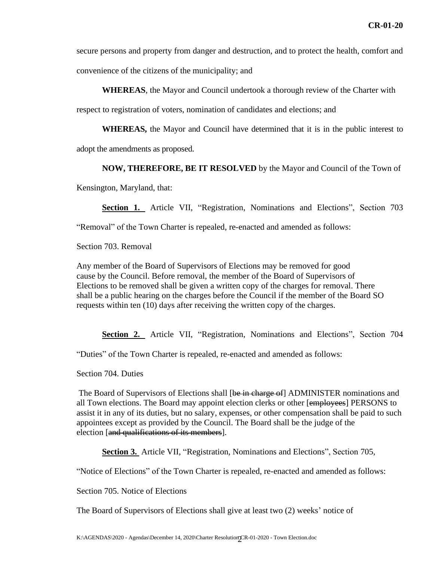secure persons and property from danger and destruction, and to protect the health, comfort and convenience of the citizens of the municipality; and

**WHEREAS**, the Mayor and Council undertook a thorough review of the Charter with

respect to registration of voters, nomination of candidates and elections; and

**WHEREAS,** the Mayor and Council have determined that it is in the public interest to

adopt the amendments as proposed.

#### **NOW, THEREFORE, BE IT RESOLVED** by the Mayor and Council of the Town of

Kensington, Maryland, that:

**Section 1.** Article VII, "Registration, Nominations and Elections", Section 703

"Removal" of the Town Charter is repealed, re-enacted and amended as follows:

Section 703. Removal

Any member of the Board of Supervisors of Elections may be removed for good cause by the Council. Before removal, the member of the Board of Supervisors of Elections to be removed shall be given a written copy of the charges for removal. There shall be a public hearing on the charges before the Council if the member of the Board SO requests within ten (10) days after receiving the written copy of the charges.

**Section 2.** Article VII, "Registration, Nominations and Elections", Section 704

"Duties" of the Town Charter is repealed, re-enacted and amended as follows:

Section 704. Duties

The Board of Supervisors of Elections shall [be in charge of] ADMINISTER nominations and all Town elections. The Board may appoint election clerks or other [employees] PERSONS to assist it in any of its duties, but no salary, expenses, or other compensation shall be paid to such appointees except as provided by the Council. The Board shall be the judge of the election [and qualifications of its members].

**Section 3.** Article VII, "Registration, Nominations and Elections", Section 705,

"Notice of Elections" of the Town Charter is repealed, re-enacted and amended as follows:

Section 705. Notice of Elections

The Board of Supervisors of Elections shall give at least two (2) weeks' notice of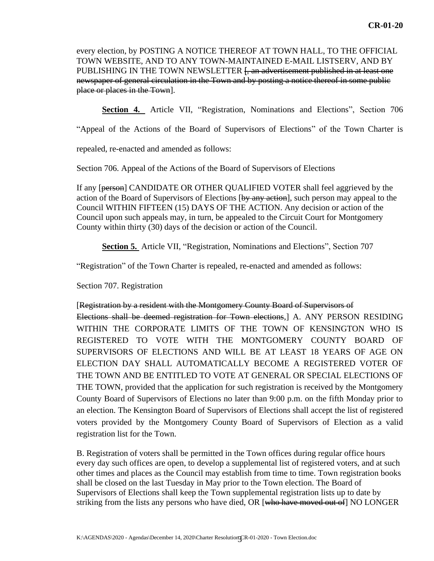every election, by POSTING A NOTICE THEREOF AT TOWN HALL, TO THE OFFICIAL TOWN WEBSITE, AND TO ANY TOWN-MAINTAINED E-MAIL LISTSERV, AND BY PUBLISHING IN THE TOWN NEWSLETTER [, an advertisement published in at least one newspaper of general circulation in the Town and by posting a notice thereof in some public place or places in the Town].

**Section 4.** Article VII, "Registration, Nominations and Elections", Section 706

"Appeal of the Actions of the Board of Supervisors of Elections" of the Town Charter is

repealed, re-enacted and amended as follows:

Section 706. Appeal of the Actions of the Board of Supervisors of Elections

If any [person] CANDIDATE OR OTHER QUALIFIED VOTER shall feel aggrieved by the action of the Board of Supervisors of Elections [by any action], such person may appeal to the Council WITHIN FIFTEEN (15) DAYS OF THE ACTION. Any decision or action of the Council upon such appeals may, in turn, be appealed to the Circuit Court for Montgomery County within thirty (30) days of the decision or action of the Council.

**Section 5.** Article VII, "Registration, Nominations and Elections", Section 707

"Registration" of the Town Charter is repealed, re-enacted and amended as follows:

Section 707. Registration

#### [Registration by a resident with the Montgomery County Board of Supervisors of

Elections shall be deemed registration for Town elections,] A. ANY PERSON RESIDING WITHIN THE CORPORATE LIMITS OF THE TOWN OF KENSINGTON WHO IS REGISTERED TO VOTE WITH THE MONTGOMERY COUNTY BOARD OF SUPERVISORS OF ELECTIONS AND WILL BE AT LEAST 18 YEARS OF AGE ON ELECTION DAY SHALL AUTOMATICALLY BECOME A REGISTERED VOTER OF THE TOWN AND BE ENTITLED TO VOTE AT GENERAL OR SPECIAL ELECTIONS OF THE TOWN, provided that the application for such registration is received by the Montgomery County Board of Supervisors of Elections no later than 9:00 p.m. on the fifth Monday prior to an election. The Kensington Board of Supervisors of Elections shall accept the list of registered voters provided by the Montgomery County Board of Supervisors of Election as a valid registration list for the Town.

B. Registration of voters shall be permitted in the Town offices during regular office hours every day such offices are open, to develop a supplemental list of registered voters, and at such other times and places as the Council may establish from time to time. Town registration books shall be closed on the last Tuesday in May prior to the Town election. The Board of Supervisors of Elections shall keep the Town supplemental registration lists up to date by striking from the lists any persons who have died, OR [who have moved out of] NO LONGER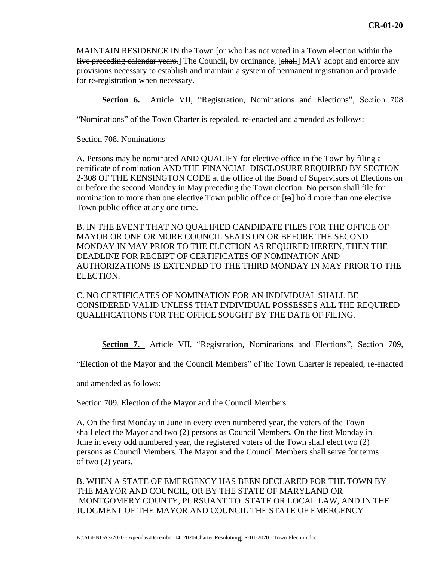MAINTAIN RESIDENCE IN the Town [or who has not voted in a Town election within the five preceding calendar years.] The Council, by ordinance, [shall] MAY adopt and enforce any provisions necessary to establish and maintain a system of permanent registration and provide for re-registration when necessary.

**Section 6.** Article VII, "Registration, Nominations and Elections", Section 708

"Nominations" of the Town Charter is repealed, re-enacted and amended as follows:

Section 708. Nominations

A. Persons may be nominated AND QUALIFY for elective office in the Town by filing a certificate of nomination AND THE FINANCIAL DISCLOSURE REQUIRED BY SECTION 2-308 OF THE KENSINGTON CODE at the office of the Board of Supervisors of Elections on or before the second Monday in May preceding the Town election. No person shall file for nomination to more than one elective Town public office or  $[\uparrow\phi]$  hold more than one elective Town public office at any one time.

B. IN THE EVENT THAT NO QUALIFIED CANDIDATE FILES FOR THE OFFICE OF MAYOR OR ONE OR MORE COUNCIL SEATS ON OR BEFORE THE SECOND MONDAY IN MAY PRIOR TO THE ELECTION AS REQUIRED HEREIN, THEN THE DEADLINE FOR RECEIPT OF CERTIFICATES OF NOMINATION AND AUTHORIZATIONS IS EXTENDED TO THE THIRD MONDAY IN MAY PRIOR TO THE ELECTION.

C. NO CERTIFICATES OF NOMINATION FOR AN INDIVIDUAL SHALL BE CONSIDERED VALID UNLESS THAT INDIVIDUAL POSSESSES ALL THE REQUIRED QUALIFICATIONS FOR THE OFFICE SOUGHT BY THE DATE OF FILING.

**Section 7.** Article VII, "Registration, Nominations and Elections", Section 709,

"Election of the Mayor and the Council Members" of the Town Charter is repealed, re-enacted

and amended as follows:

Section 709. Election of the Mayor and the Council Members

A. On the first Monday in June in every even numbered year, the voters of the Town shall elect the Mayor and two (2) persons as Council Members. On the first Monday in June in every odd numbered year, the registered voters of the Town shall elect two (2) persons as Council Members. The Mayor and the Council Members shall serve for terms of two (2) years.

B. WHEN A STATE OF EMERGENCY HAS BEEN DECLARED FOR THE TOWN BY THE MAYOR AND COUNCIL, OR BY THE STATE OF MARYLAND OR MONTGOMERY COUNTY, PURSUANT TO STATE OR LOCAL LAW, AND IN THE JUDGMENT OF THE MAYOR AND COUNCIL THE STATE OF EMERGENCY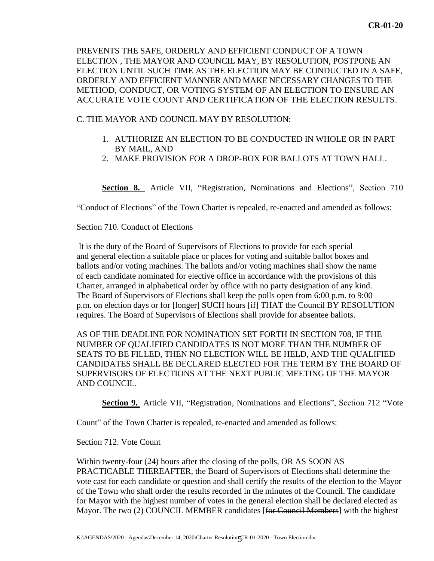PREVENTS THE SAFE, ORDERLY AND EFFICIENT CONDUCT OF A TOWN ELECTION , THE MAYOR AND COUNCIL MAY, BY RESOLUTION, POSTPONE AN ELECTION UNTIL SUCH TIME AS THE ELECTION MAY BE CONDUCTED IN A SAFE, ORDERLY AND EFFICIENT MANNER AND MAKE NECESSARY CHANGES TO THE METHOD, CONDUCT, OR VOTING SYSTEM OF AN ELECTION TO ENSURE AN ACCURATE VOTE COUNT AND CERTIFICATION OF THE ELECTION RESULTS.

C. THE MAYOR AND COUNCIL MAY BY RESOLUTION:

- 1. AUTHORIZE AN ELECTION TO BE CONDUCTED IN WHOLE OR IN PART BY MAIL, AND
- 2. MAKE PROVISION FOR A DROP-BOX FOR BALLOTS AT TOWN HALL.

**Section 8.** Article VII, "Registration, Nominations and Elections", Section 710

"Conduct of Elections" of the Town Charter is repealed, re-enacted and amended as follows:

Section 710. Conduct of Elections

It is the duty of the Board of Supervisors of Elections to provide for each special and general election a suitable place or places for voting and suitable ballot boxes and ballots and/or voting machines. The ballots and/or voting machines shall show the name of each candidate nominated for elective office in accordance with the provisions of this Charter, arranged in alphabetical order by office with no party designation of any kind. The Board of Supervisors of Elections shall keep the polls open from 6:00 p.m. to 9:00 p.m. on election days or for [longer] SUCH hours [if] THAT the Council BY RESOLUTION requires. The Board of Supervisors of Elections shall provide for absentee ballots.

AS OF THE DEADLINE FOR NOMINATION SET FORTH IN SECTION 708, IF THE NUMBER OF QUALIFIED CANDIDATES IS NOT MORE THAN THE NUMBER OF SEATS TO BE FILLED, THEN NO ELECTION WILL BE HELD, AND THE QUALIFIED CANDIDATES SHALL BE DECLARED ELECTED FOR THE TERM BY THE BOARD OF SUPERVISORS OF ELECTIONS AT THE NEXT PUBLIC MEETING OF THE MAYOR AND COUNCIL.

**Section 9.** Article VII, "Registration, Nominations and Elections", Section 712 "Vote

Count" of the Town Charter is repealed, re-enacted and amended as follows:

Section 712. Vote Count

Within twenty-four (24) hours after the closing of the polls, OR AS SOON AS PRACTICABLE THEREAFTER, the Board of Supervisors of Elections shall determine the vote cast for each candidate or question and shall certify the results of the election to the Mayor of the Town who shall order the results recorded in the minutes of the Council. The candidate for Mayor with the highest number of votes in the general election shall be declared elected as Mayor. The two (2) COUNCIL MEMBER candidates [for Council Members] with the highest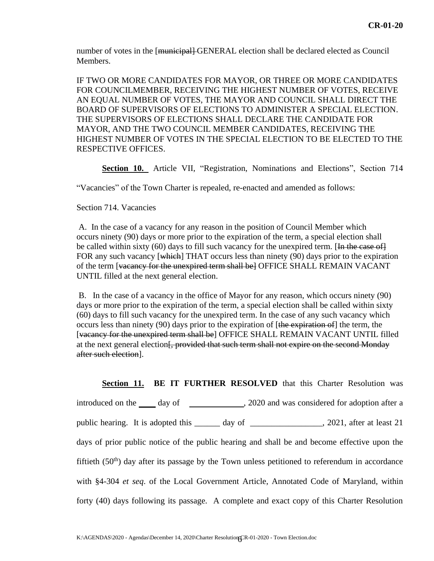number of votes in the [<del>municipal] GENERAL</del> election shall be declared elected as Council Members.

IF TWO OR MORE CANDIDATES FOR MAYOR, OR THREE OR MORE CANDIDATES FOR COUNCILMEMBER, RECEIVING THE HIGHEST NUMBER OF VOTES, RECEIVE AN EQUAL NUMBER OF VOTES, THE MAYOR AND COUNCIL SHALL DIRECT THE BOARD OF SUPERVISORS OF ELECTIONS TO ADMINISTER A SPECIAL ELECTION. THE SUPERVISORS OF ELECTIONS SHALL DECLARE THE CANDIDATE FOR MAYOR, AND THE TWO COUNCIL MEMBER CANDIDATES, RECEIVING THE HIGHEST NUMBER OF VOTES IN THE SPECIAL ELECTION TO BE ELECTED TO THE RESPECTIVE OFFICES.

**Section 10.** Article VII, "Registration, Nominations and Elections", Section 714

"Vacancies" of the Town Charter is repealed, re-enacted and amended as follows:

Section 714. Vacancies

A. In the case of a vacancy for any reason in the position of Council Member which occurs ninety (90) days or more prior to the expiration of the term, a special election shall be called within sixty (60) days to fill such vacancy for the unexpired term. [In the case of] FOR any such vacancy [which] THAT occurs less than ninety (90) days prior to the expiration of the term [vacancy for the unexpired term shall be] OFFICE SHALL REMAIN VACANT UNTIL filled at the next general election.

B. In the case of a vacancy in the office of Mayor for any reason, which occurs ninety (90) days or more prior to the expiration of the term, a special election shall be called within sixty (60) days to fill such vacancy for the unexpired term. In the case of any such vacancy which occurs less than ninety (90) days prior to the expiration of  $[the$  expiration of  $]$  the term, the [vacancy for the unexpired term shall be] OFFICE SHALL REMAIN VACANT UNTIL filled at the next general election<del>[, provided that such term shall not expire on the second Monday</del> after such election].

**Section 11. BE IT FURTHER RESOLVED** that this Charter Resolution was introduced on the day of , 2020 and was considered for adoption after a public hearing. It is adopted this \_\_\_\_\_\_ day of \_\_\_\_\_\_\_\_\_\_\_\_\_\_\_, 2021, after at least 21 days of prior public notice of the public hearing and shall be and become effective upon the fiftieth  $(50<sup>th</sup>)$  day after its passage by the Town unless petitioned to referendum in accordance with §4-304 *et seq*. of the Local Government Article, Annotated Code of Maryland, within forty (40) days following its passage. A complete and exact copy of this Charter Resolution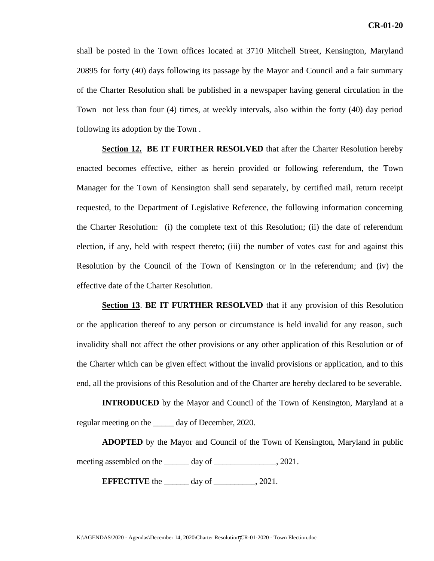shall be posted in the Town offices located at 3710 Mitchell Street, Kensington, Maryland 20895 for forty (40) days following its passage by the Mayor and Council and a fair summary of the Charter Resolution shall be published in a newspaper having general circulation in the Town not less than four (4) times, at weekly intervals, also within the forty (40) day period following its adoption by the Town .

**Section 12. BE IT FURTHER RESOLVED** that after the Charter Resolution hereby enacted becomes effective, either as herein provided or following referendum, the Town Manager for the Town of Kensington shall send separately, by certified mail, return receipt requested, to the Department of Legislative Reference, the following information concerning the Charter Resolution: (i) the complete text of this Resolution; (ii) the date of referendum election, if any, held with respect thereto; (iii) the number of votes cast for and against this Resolution by the Council of the Town of Kensington or in the referendum; and (iv) the effective date of the Charter Resolution.

**Section 13**. **BE IT FURTHER RESOLVED** that if any provision of this Resolution or the application thereof to any person or circumstance is held invalid for any reason, such invalidity shall not affect the other provisions or any other application of this Resolution or of the Charter which can be given effect without the invalid provisions or application, and to this end, all the provisions of this Resolution and of the Charter are hereby declared to be severable.

**INTRODUCED** by the Mayor and Council of the Town of Kensington, Maryland at a regular meeting on the \_\_\_\_\_ day of December, 2020.

**ADOPTED** by the Mayor and Council of the Town of Kensington, Maryland in public meeting assembled on the \_\_\_\_\_\_ day of \_\_\_\_\_\_\_\_\_\_\_\_\_, 2021.

**EFFECTIVE** the \_\_\_\_\_\_\_ day of \_\_\_\_\_\_\_\_\_, 2021.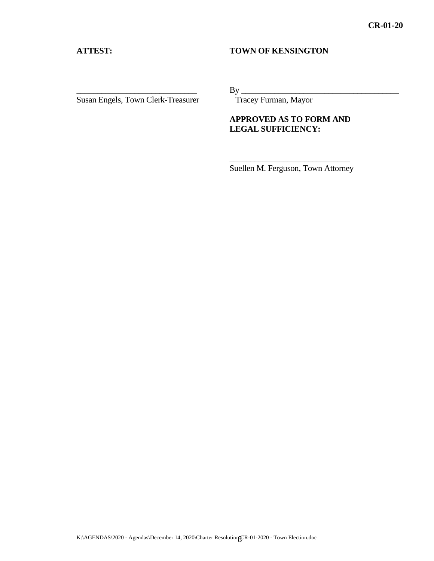#### **ATTEST: TOWN OF KENSINGTON**

Susan Engels, Town Clerk-Treasurer Tracey Furman, Mayor

 $\qquad \qquad \text{By} \qquad \qquad$ 

#### **APPROVED AS TO FORM AND LEGAL SUFFICIENCY:**

\_\_\_\_\_\_\_\_\_\_\_\_\_\_\_\_\_\_\_\_\_\_\_\_\_\_\_\_\_ Suellen M. Ferguson, Town Attorney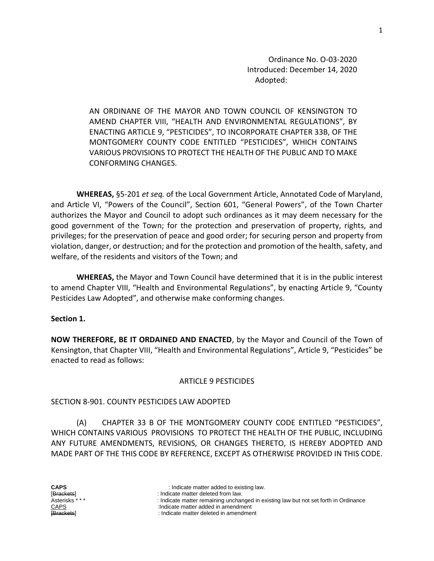Ordinance No. O-03-2020 Introduced: December 14, 2020 Adopted:

AN ORDINANE OF THE MAYOR AND TOWN COUNCIL OF KENSINGTON TO AMEND CHAPTER VIII, "HEALTH AND ENVIRONMENTAL REGULATIONS", BY ENACTING ARTICLE 9, "PESTICIDES", TO INCORPORATE CHAPTER 33B, OF THE MONTGOMERY COUNTY CODE ENTITLED "PESTICIDES", WHICH CONTAINS VARIOUS PROVISIONS TO PROTECT THE HEALTH OF THE PUBLIC AND TO MAKE CONFORMING CHANGES.

**WHEREAS,** §5-201 *et seq.* of the Local Government Article, Annotated Code of Maryland, and Article VI, "Powers of the Council", Section 601, "General Powers", of the Town Charter authorizes the Mayor and Council to adopt such ordinances as it may deem necessary for the good government of the Town; for the protection and preservation of property, rights, and privileges; for the preservation of peace and good order; for securing person and property from violation, danger, or destruction; and for the protection and promotion of the health, safety, and welfare, of the residents and visitors of the Town; and

**WHEREAS,** the Mayor and Town Council have determined that it is in the public interest to amend Chapter VIII, "Health and Environmental Regulations", by enacting Article 9, "County Pesticides Law Adopted", and otherwise make conforming changes.

#### **Section 1.**

**NOW THEREFORE, BE IT ORDAINED AND ENACTED**, by the Mayor and Council of the Town of Kensington, that Chapter VIII, "Health and Environmental Regulations", Article 9, "Pesticides" be enacted to read as follows:

#### ARTICLE 9 PESTICIDES

#### SECTION 8-901. COUNTY PESTICIDES LAW ADOPTED

(A) CHAPTER 33 B OF THE MONTGOMERY COUNTY CODE ENTITLED "PESTICIDES", WHICH CONTAINS VARIOUS PROVISIONS TO PROTECT THE HEALTH OF THE PUBLIC, INCLUDING ANY FUTURE AMENDMENTS, REVISIONS, OR CHANGES THERETO, IS HEREBY ADOPTED AND MADE PART OF THE THIS CODE BY REFERENCE, EXCEPT AS OTHERWISE PROVIDED IN THIS CODE.

**CAPS** : Indicate matter added to existing law.<br> **Exacted:** Indicate matter deleted from law.<br> **Exacted:** Indicate matter deleted from law.

- 
- [Brackets] : Indicate matter deleted from law. : Indicate matter remaining unchanged in existing law but not set forth in Ordinance

CAPS :Indicate matter added in amendment

: Indicate matter deleted in amendment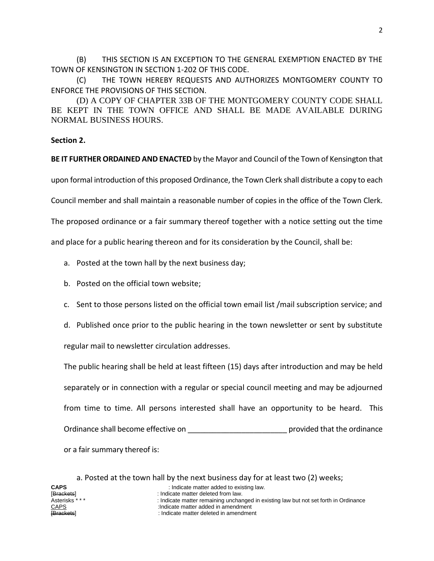(B) THIS SECTION IS AN EXCEPTION TO THE GENERAL EXEMPTION ENACTED BY THE TOWN OF KENSINGTON IN SECTION 1-202 OF THIS CODE.

(C) THE TOWN HEREBY REQUESTS AND AUTHORIZES MONTGOMERY COUNTY TO ENFORCE THE PROVISIONS OF THIS SECTION.

(D) A COPY OF CHAPTER 33B OF THE MONTGOMERY COUNTY CODE SHALL BE KEPT IN THE TOWN OFFICE AND SHALL BE MADE AVAILABLE DURING NORMAL BUSINESS HOURS.

#### **Section 2.**

**BE IT FURTHER ORDAINED AND ENACTED** by the Mayor and Council of the Town of Kensington that

upon formal introduction of this proposed Ordinance, the Town Clerk shall distribute a copy to each

Council member and shall maintain a reasonable number of copies in the office of the Town Clerk.

The proposed ordinance or a fair summary thereof together with a notice setting out the time

and place for a public hearing thereon and for its consideration by the Council, shall be:

- a. Posted at the town hall by the next business day;
- b. Posted on the official town website;
- c. Sent to those persons listed on the official town email list /mail subscription service; and

d. Published once prior to the public hearing in the town newsletter or sent by substitute

regular mail to newsletter circulation addresses.

The public hearing shall be held at least fifteen (15) days after introduction and may be held separately or in connection with a regular or special council meeting and may be adjourned from time to time. All persons interested shall have an opportunity to be heard. This Ordinance shall become effective on example of the provided that the ordinance or a fair summary thereof is: